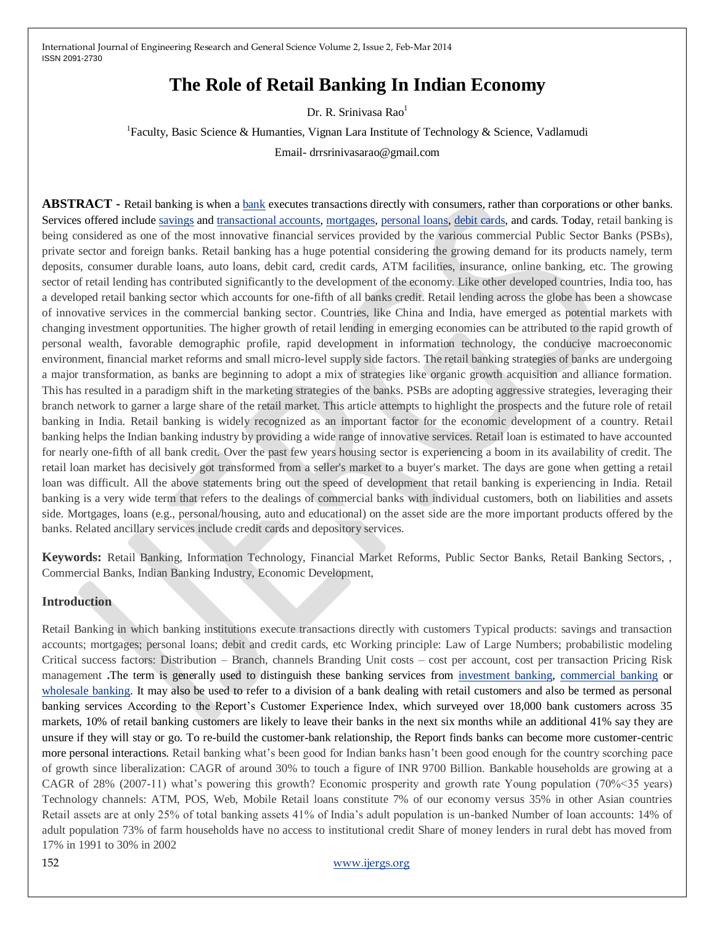# **The Role of Retail Banking In Indian Economy**

Dr. R. Srinivasa Rao<sup>1</sup>

<sup>1</sup> Faculty, Basic Science & Humanties, Vignan Lara Institute of Technology & Science, Vadlamudi Email- drrsrinivasarao@gmail.com

**ABSTRACT** - Retail banking is when [a bank](http://en.wikipedia.org/wiki/Bank) executes transactions directly with consumers, rather than corporations or other banks. Services offered include [savings](http://en.wikipedia.org/wiki/Savings_account) an[d transactional accounts,](http://en.wikipedia.org/wiki/Transactional_account) [mortgages,](http://en.wikipedia.org/wiki/Mortgage_loan) [personal loans,](http://en.wikipedia.org/wiki/Personal_loan) [debit cards,](http://en.wikipedia.org/wiki/Debit_card) and cards. Today, retail banking is being considered as one of the most innovative financial services provided by the various commercial Public Sector Banks (PSBs), private sector and foreign banks. Retail banking has a huge potential considering the growing demand for its products namely, term deposits, consumer durable loans, auto loans, debit card, credit cards, ATM facilities, insurance, online banking, etc. The growing sector of retail lending has contributed significantly to the development of the economy. Like other developed countries, India too, has a developed retail banking sector which accounts for one-fifth of all banks credit. Retail lending across the globe has been a showcase of innovative services in the commercial banking sector. Countries, like China and India, have emerged as potential markets with changing investment opportunities. The higher growth of retail lending in emerging economies can be attributed to the rapid growth of personal wealth, favorable demographic profile, rapid development in information technology, the conducive macroeconomic environment, financial market reforms and small micro-level supply side factors. The retail banking strategies of banks are undergoing a major transformation, as banks are beginning to adopt a mix of strategies like organic growth acquisition and alliance formation. This has resulted in a paradigm shift in the marketing strategies of the banks. PSBs are adopting aggressive strategies, leveraging their branch network to garner a large share of the retail market. This article attempts to highlight the prospects and the future role of retail banking in India. Retail banking is widely recognized as an important factor for the economic development of a country. Retail banking helps the Indian banking industry by providing a wide range of innovative services. Retail loan is estimated to have accounted for nearly one-fifth of all bank credit. Over the past few years housing sector is experiencing a boom in its availability of credit. The retail loan market has decisively got transformed from a seller's market to a buyer's market. The days are gone when getting a retail loan was difficult. All the above statements bring out the speed of development that retail banking is experiencing in India. Retail banking is a very wide term that refers to the dealings of commercial banks with individual customers, both on liabilities and assets side. Mortgages, loans (e.g., personal/housing, auto and educational) on the asset side are the more important products offered by the banks. Related ancillary services include credit cards and depository services.

**Keywords:** Retail Banking, Information Technology, Financial Market Reforms, Public Sector Banks, Retail Banking Sectors, , Commercial Banks, Indian Banking Industry, Economic Development,

## **Introduction**

Retail Banking in which banking institutions execute transactions directly with customers Typical products: savings and transaction accounts; mortgages; personal loans; debit and credit cards, etc Working principle: Law of Large Numbers; probabilistic modeling Critical success factors: Distribution – Branch, channels Branding Unit costs – cost per account, cost per transaction Pricing Risk management **.**The term is generally used to distinguish these banking services from [investment banking,](http://en.wikipedia.org/wiki/Investment_banking) [commercial banking](http://en.wikipedia.org/wiki/Commercial_banking) or [wholesale banking.](http://en.wikipedia.org/wiki/Wholesale_banking) It may also be used to refer to a division of a bank dealing with retail customers and also be termed as personal banking services According to the Report's Customer Experience Index, which surveyed over 18,000 bank customers across 35 markets, 10% of retail banking customers are likely to leave their banks in the next six months while an additional 41% say they are unsure if they will stay or go. To re-build the customer-bank relationship, the Report finds banks can become more customer-centric more personal interactions. Retail banking what's been good for Indian banks hasn't been good enough for the country scorching pace of growth since liberalization: CAGR of around 30% to touch a figure of INR 9700 Billion. Bankable households are growing at a CAGR of 28% (2007-11) what's powering this growth? Economic prosperity and growth rate Young population (70%<35 years) Technology channels: ATM, POS, Web, Mobile Retail loans constitute 7% of our economy versus 35% in other Asian countries Retail assets are at only 25% of total banking assets 41% of India's adult population is un-banked Number of loan accounts: 14% of adult population 73% of farm households have no access to institutional credit Share of money lenders in rural debt has moved from 17% in 1991 to 30% in 2002

152 [www.ijergs.org](http://www.ijergs.org/)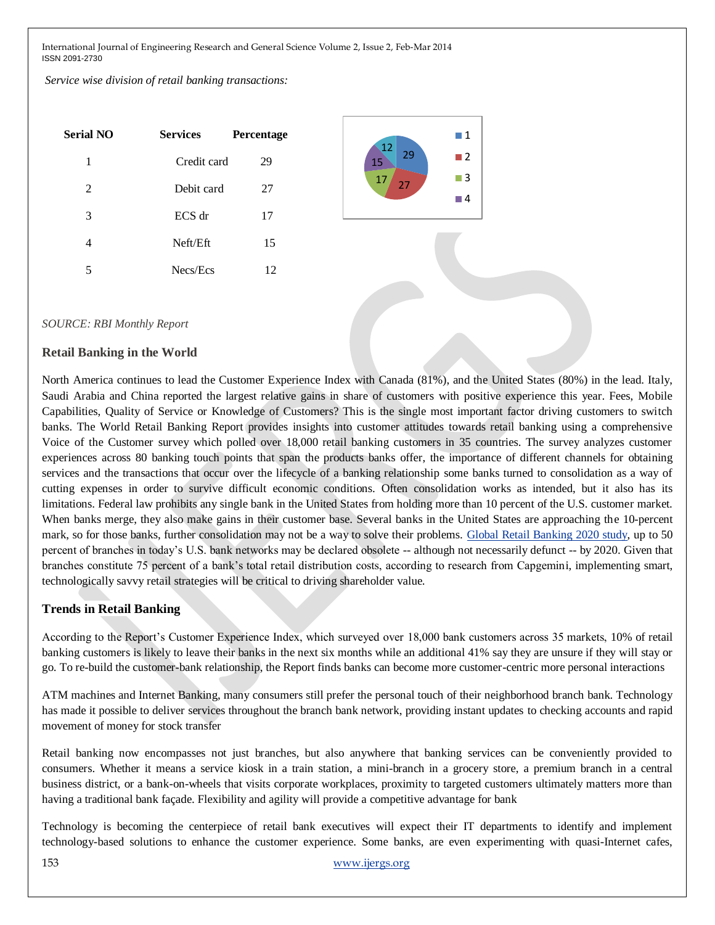*Service wise division of retail banking transactions:*

| <b>Serial NO</b> | <b>Services</b> | Percentage |
|------------------|-----------------|------------|
| 1                | Credit card     | 29         |
| 2                | Debit card      | 27         |
| 3                | $ECS$ dr        | 17         |
| 4                | Neft/Eft        | 15         |
| 5                | Necs/Ecs        | 12         |



#### *SOURCE: RBI Monthly Report*

#### **Retail Banking in the World**

North America continues to lead the Customer Experience Index with Canada (81%), and the United States (80%) in the lead. Italy, Saudi Arabia and China reported the largest relative gains in share of customers with positive experience this year. Fees, Mobile Capabilities, Quality of Service or Knowledge of Customers? This is the single most important factor driving customers to switch banks. The World Retail Banking Report provides insights into customer attitudes towards retail banking using a comprehensive Voice of the Customer survey which polled over 18,000 retail banking customers in 35 countries. The survey analyzes customer experiences across 80 banking touch points that span the products banks offer, the importance of different channels for obtaining services and the transactions that occur over the lifecycle of a banking relationship some banks turned to consolidation as a way of cutting expenses in order to survive difficult economic conditions. Often consolidation works as intended, but it also has its limitations. Federal law prohibits any single bank in the United States from holding more than 10 percent of the U.S. customer market. When banks merge, they also make gains in their customer base. Several banks in the United States are approaching the 10-percent mark, so for those banks, further consolidation may not be a way to solve their problems. Global Retail [Banking](http://www.joneslanglasalle.eu/EMEA/EN-GB/Pages/ResearchDetails.aspx?TopicName=&ItemID=8935) 2020 study, up to 50 percent of branches in today's U.S. bank networks may be declared obsolete -- although not necessarily defunct -- by 2020. Given that branches constitute 75 percent of a bank's total retail distribution costs, according to research from Capgemini, implementing smart, technologically savvy retail strategies will be critical to driving shareholder value.

#### **Trends in Retail Banking**

According to the Report's Customer Experience Index, which surveyed over 18,000 bank customers across 35 markets, 10% of retail banking customers is likely to leave their banks in the next six months while an additional 41% say they are unsure if they will stay or go. To re-build the customer-bank relationship, the Report finds banks can become more customer-centric more personal interactions

ATM machines and Internet Banking, many consumers still prefer the personal touch of their neighborhood branch bank. Technology has made it possible to deliver services throughout the branch bank network, providing instant updates to checking accounts and rapid movement of money for stock transfer

Retail banking now encompasses not just branches, but also anywhere that banking services can be conveniently provided to consumers. Whether it means a service kiosk in a train station, a mini-branch in a grocery store, a premium branch in a central business district, or a bank-on-wheels that visits corporate workplaces, proximity to targeted customers ultimately matters more than having a traditional bank façade. Flexibility and agility will provide a competitive advantage for bank

Technology is becoming the centerpiece of retail bank executives will expect their IT departments to identify and implement technology-based solutions to enhance the customer experience. Some banks, are even experimenting with quasi-Internet cafes,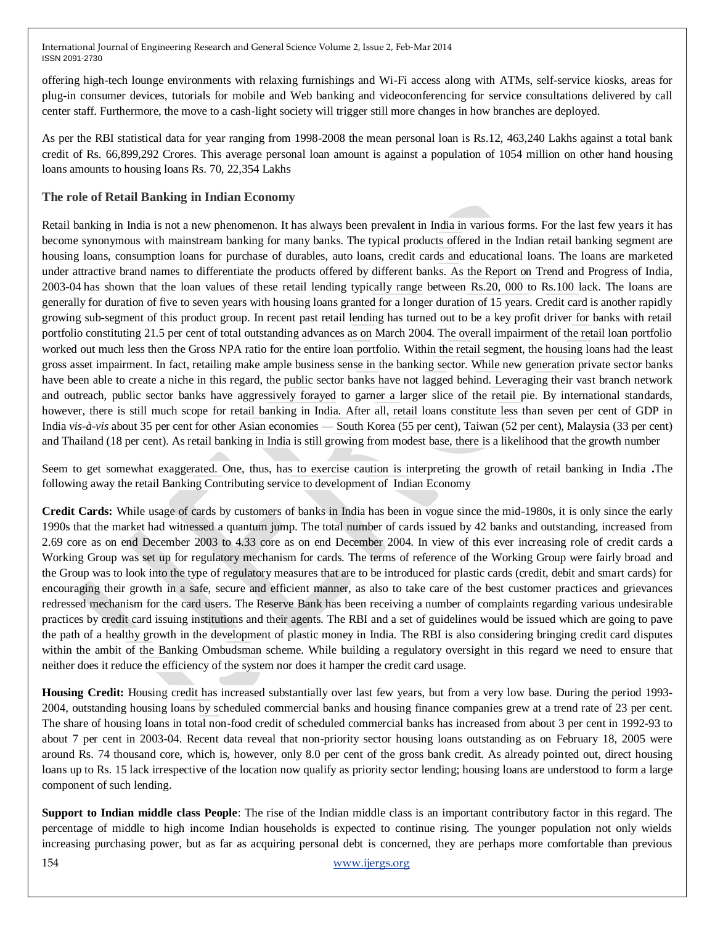offering high-tech lounge environments with relaxing furnishings and Wi-Fi access along with ATMs, self-service kiosks, areas for plug-in consumer devices, tutorials for mobile and Web banking and videoconferencing for service consultations delivered by call center staff. Furthermore, the move to a cash-light society will trigger still more changes in how branches are deployed.

As per the RBI statistical data for year ranging from 1998-2008 the mean personal loan is Rs.12, 463,240 Lakhs against a total bank credit of Rs. 66,899,292 Crores. This average personal loan amount is against a population of 1054 million on other hand housing loans amounts to housing loans Rs. 70, 22,354 Lakhs

## **The role of Retail Banking in Indian Economy**

Retail banking in India is not a new phenomenon. It has always been prevalent in India in various forms. For the last few years it has become synonymous with mainstream banking for many banks. The typical products offered in the Indian retail banking segment are housing loans, consumption loans for purchase of durables, auto loans, credit cards and educational loans. The loans are marketed under attractive brand names to differentiate the products offered by different banks. As the Report on Trend and Progress of India, 2003-04 has shown that the loan values of these retail lending typically range between Rs.20, 000 to Rs.100 lack. The loans are generally for duration of five to seven years with housing loans granted for a longer duration of 15 years. Credit card is another rapidly growing sub-segment of this product group. In recent past retail lending has turned out to be a key profit driver for banks with retail portfolio constituting 21.5 per cent of total outstanding advances as on March 2004. The overall impairment of the retail loan portfolio worked out much less then the Gross NPA ratio for the entire loan portfolio. Within the retail segment, the housing loans had the least gross asset impairment. In fact, retailing make ample business sense in the banking sector. While new generation private sector banks have been able to create a niche in this regard, the public sector banks have not lagged behind. Leveraging their vast branch network and outreach, public sector banks have aggressively forayed to garner a larger slice of the retail pie. By international standards, however, there is still much scope for retail banking in India. After all, retail loans constitute less than seven per cent of GDP in India *vis-à-vis* about 35 per cent for other Asian economies — South Korea (55 per cent), Taiwan (52 per cent), Malaysia (33 per cent) and Thailand (18 per cent). As retail banking in India is still growing from modest base, there is a likelihood that the growth number

Seem to get somewhat exaggerated. One, thus, has to exercise caution is interpreting the growth of retail banking in India **.**The following away the retail Banking Contributing service to development of Indian Economy

**Credit Cards:** While usage of cards by customers of banks in India has been in vogue since the mid-1980s, it is only since the early 1990s that the market had witnessed a quantum jump. The total number of cards issued by 42 banks and outstanding, increased from 2.69 core as on end December 2003 to 4.33 core as on end December 2004. In view of this ever increasing role of credit cards a Working Group was set up for regulatory mechanism for cards. The terms of reference of the Working Group were fairly broad and the Group was to look into the type of regulatory measures that are to be introduced for plastic cards (credit, debit and smart cards) for encouraging their growth in a safe, secure and efficient manner, as also to take care of the best customer practices and grievances redressed mechanism for the card users. The Reserve Bank has been receiving a number of complaints regarding various undesirable practices by credit card issuing institutions and their agents. The RBI and a set of guidelines would be issued which are going to pave the path of a healthy growth in the development of plastic money in India. The RBI is also considering bringing credit card disputes within the ambit of the Banking Ombudsman scheme. While building a regulatory oversight in this regard we need to ensure that neither does it reduce the efficiency of the system nor does it hamper the credit card usage.

**Housing Credit:** Housing credit has increased substantially over last few years, but from a very low base. During the period 1993- 2004, outstanding housing loans by scheduled commercial banks and housing finance companies grew at a trend rate of 23 per cent. The share of housing loans in total non-food credit of scheduled commercial banks has increased from about 3 per cent in 1992-93 to about 7 per cent in 2003-04. Recent data reveal that non-priority sector housing loans outstanding as on February 18, 2005 were around Rs. 74 thousand core, which is, however, only 8.0 per cent of the gross bank credit. As already pointed out, direct housing loans up to Rs. 15 lack irrespective of the location now qualify as priority sector lending; housing loans are understood to form a large component of such lending.

**Support to Indian middle class People**: The rise of the Indian middle class is an important contributory factor in this regard. The percentage of middle to high income Indian households is expected to continue rising. The younger population not only wields increasing purchasing power, but as far as acquiring personal debt is concerned, they are perhaps more comfortable than previous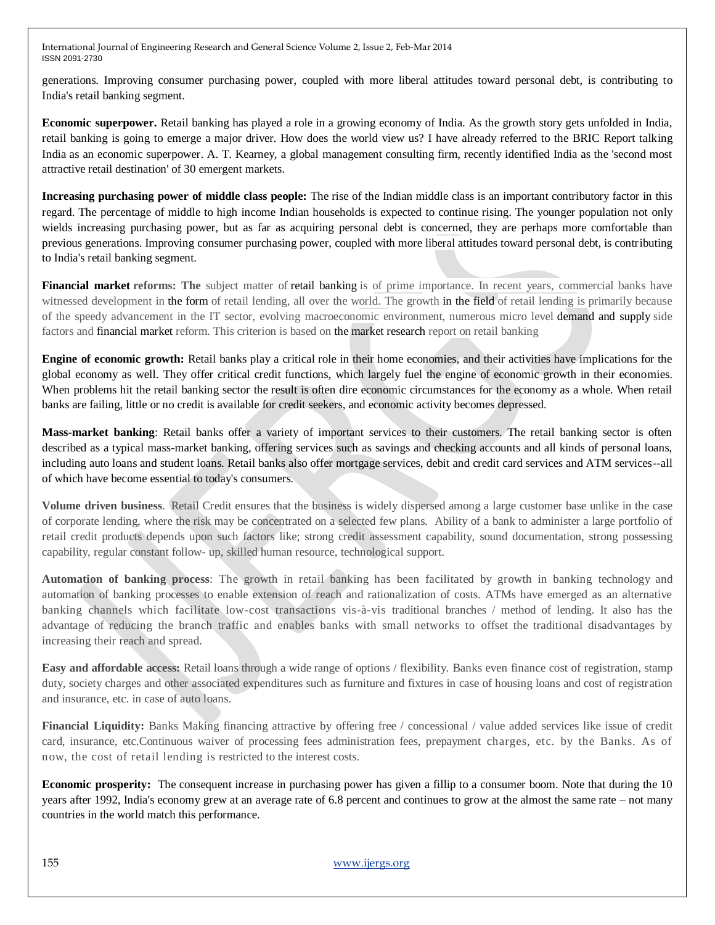generations. Improving consumer purchasing power, coupled with more liberal attitudes toward personal debt, is contributing to India's retail banking segment.

**Economic superpower.** Retail banking has played a role in a growing economy of India. As the growth story gets unfolded in India, retail banking is going to emerge a major driver. How does the world view us? I have already referred to the BRIC Report talking India as an economic superpower. A. T. Kearney, a global management consulting firm, recently identified India as the 'second most attractive retail destination' of 30 emergent markets.

**Increasing purchasing power of middle class people:** The rise of the Indian middle class is an important contributory factor in this regard. The percentage of middle to high income Indian households is expected to continue rising. The younger population not only wields increasing purchasing power, but as far as acquiring personal debt is concerned, they are perhaps more comfortable than previous generations. Improving consumer purchasing power, coupled with more liberal attitudes toward personal debt, is contributing to India's retail banking segment.

**Financial market reforms: The** subject matter of retail banking is of prime importance. In recent years, commercial banks have witnessed development in the form of retail lending, all over the world. The growth in the field of retail lending is primarily because of the speedy advancement in the IT sector, evolving macroeconomic environment, numerous micro level demand and supply side factors and financial market reform. This criterion is based on the market research report on retail banking

**Engine of economic growth:** Retail banks play a critical role in their home economies, and their activities have implications for the global economy as well. They offer critical credit functions, which largely fuel the engine of economic growth in their economies. When problems hit the retail banking sector the result is often dire economic circumstances for the economy as a whole. When retail banks are failing, little or no credit is available for credit seekers, and economic activity becomes depressed.

**Mass-market banking**: Retail banks offer a variety of important services to their customers. The retail banking sector is often described as a typical mass-market banking, offering services such as savings and checking accounts and all kinds of personal loans, including auto loans and student loans. Retail banks also offer mortgage services, debit and credit card services and ATM services--all of which have become essential to today's consumers.

**Volume driven business**. Retail Credit ensures that the business is widely dispersed among a large customer base unlike in the case of corporate lending, where the risk may be concentrated on a selected few plans. Ability of a bank to administer a large portfolio of retail credit products depends upon such factors like; strong credit assessment capability, sound documentation, strong possessing capability, regular constant follow- up, skilled human resource, technological support.

**Automation of banking process**: The growth in retail banking has been facilitated by growth in banking technology and automation of banking processes to enable extension of reach and rationalization of costs. ATMs have emerged as an alternative banking channels which facilitate low-cost transactions vis-à-vis traditional branches / method of lending. It also has the advantage of reducing the branch traffic and enables banks with small networks to offset the traditional disadvantages by increasing their reach and spread.

**Easy and affordable access:** Retail loans through a wide range of options / flexibility. Banks even finance cost of registration, stamp duty, society charges and other associated expenditures such as furniture and fixtures in case of housing loans and cost of registration and insurance, etc. in case of auto loans.

**Financial Liquidity:** Banks Making financing attractive by offering free / concessional / value added services like issue of credit card, insurance, etc.Continuous waiver of processing fees administration fees, prepayment charges, etc. by the Banks. As of now, the cost of retail lending is restricted to the interest costs.

**Economic prosperity:** The consequent increase in purchasing power has given a fillip to a consumer boom. Note that during the 10 years after 1992, India's economy grew at an average rate of 6.8 percent and continues to grow at the almost the same rate – not many countries in the world match this performance.

155 [www.ijergs.org](http://www.ijergs.org/)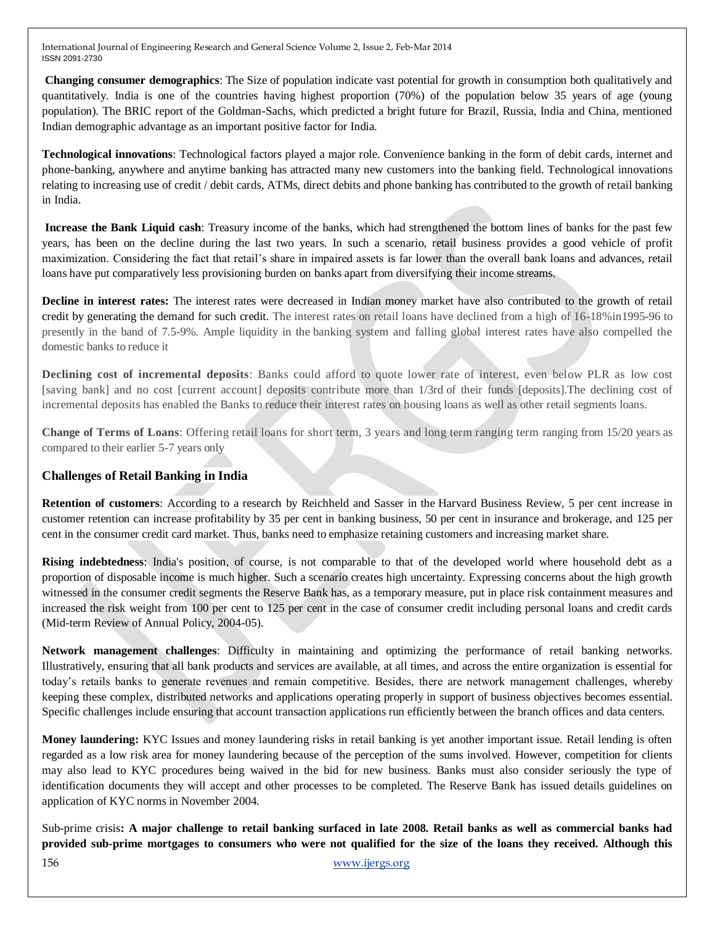**Changing consumer demographics**: The Size of population indicate vast potential for growth in consumption both qualitatively and quantitatively. India is one of the countries having highest proportion (70%) of the population below 35 years of age (young population). The BRIC report of the Goldman-Sachs, which predicted a bright future for Brazil, Russia, India and China, mentioned Indian demographic advantage as an important positive factor for India.

**Technological innovations**: Technological factors played a major role. Convenience banking in the form of debit cards, internet and phone-banking, anywhere and anytime banking has attracted many new customers into the banking field. Technological innovations relating to increasing use of credit / debit cards, ATMs, direct debits and phone banking has contributed to the growth of retail banking in India.

**Increase the Bank Liquid cash**: Treasury income of the banks, which had strengthened the bottom lines of banks for the past few years, has been on the decline during the last two years. In such a scenario, retail business provides a good vehicle of profit maximization. Considering the fact that retail's share in impaired assets is far lower than the overall bank loans and advances, retail loans have put comparatively less provisioning burden on banks apart from diversifying their income streams.

**Decline in interest rates:** The interest rates were decreased in Indian money market have also contributed to the growth of retail credit by generating the demand for such credit. The interest rates on retail loans have declined from a high of 16-18%in1995-96 to presently in the band of 7.5-9%. Ample liquidity in the banking system and falling global interest rates have also compelled the domestic banks to reduce it

**Declining cost of incremental deposits**: Banks could afford to quote lower rate of interest, even below PLR as low cost [saving bank] and no cost [current account] deposits contribute more than 1/3rd of their funds [deposits].The declining cost of incremental deposits has enabled the Banks to reduce their interest rates on housing loans as well as other retail segments loans.

**Change of Terms of Loans**: Offering retail loans for short term, 3 years and long term ranging term ranging from 15/20 years as compared to their earlier 5-7 years only

## **Challenges of Retail Banking in India**

**Retention of customers**: According to a research by Reichheld and Sasser in the Harvard Business Review, 5 per cent increase in customer retention can increase profitability by 35 per cent in banking business, 50 per cent in insurance and brokerage, and 125 per cent in the consumer credit card market. Thus, banks need to emphasize retaining customers and increasing market share.

**Rising indebtedness**: India's position, of course, is not comparable to that of the developed world where household debt as a proportion of disposable income is much higher. Such a scenario creates high uncertainty. Expressing concerns about the high growth witnessed in the consumer credit segments the Reserve Bank has, as a temporary measure, put in place risk containment measures and increased the risk weight from 100 per cent to 125 per cent in the case of consumer credit including personal loans and credit cards (Mid-term Review of Annual Policy, 2004-05).

**Network management challenges**: Difficulty in maintaining and optimizing the performance of retail banking networks. Illustratively, ensuring that all bank products and services are available, at all times, and across the entire organization is essential for today's retails banks to generate revenues and remain competitive. Besides, there are network management challenges, whereby keeping these complex, distributed networks and applications operating properly in support of business objectives becomes essential. Specific challenges include ensuring that account transaction applications run efficiently between the branch offices and data centers.

**Money laundering:** KYC Issues and money laundering risks in retail banking is yet another important issue. Retail lending is often regarded as a low risk area for money laundering because of the perception of the sums involved. However, competition for clients may also lead to KYC procedures being waived in the bid for new business. Banks must also consider seriously the type of identification documents they will accept and other processes to be completed. The Reserve Bank has issued details guidelines on application of KYC norms in November 2004.

156 [www.ijergs.org](http://www.ijergs.org/) Sub-prime crisis**: A major challenge to retail banking surfaced in late 2008. Retail banks as well as commercial banks had provided sub-prime mortgages to consumers who were not qualified for the size of the loans they received. Although this**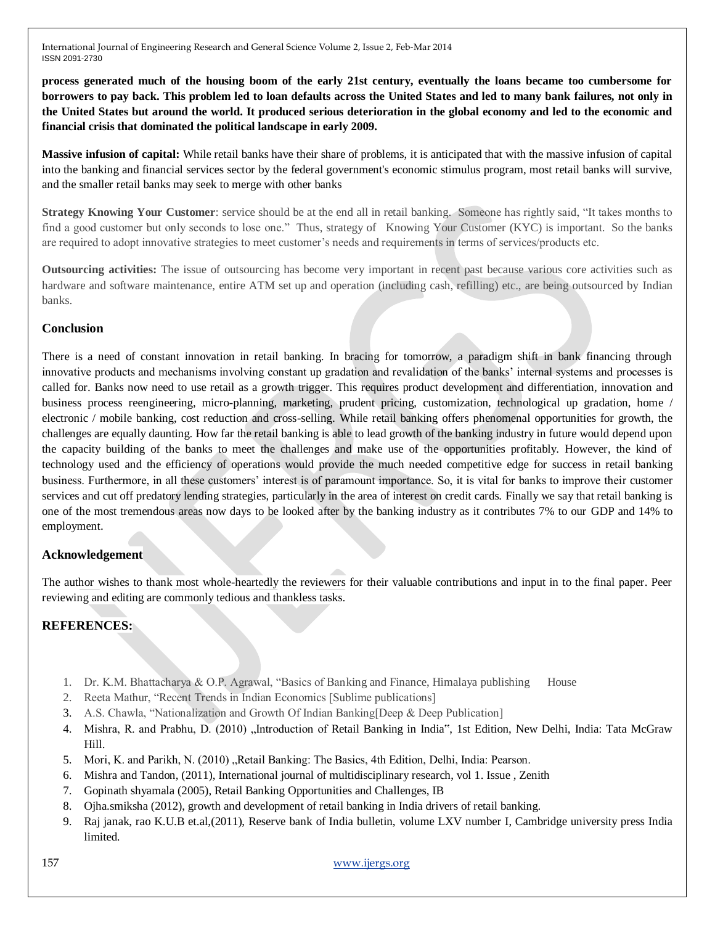**process generated much of the housing boom of the early 21st century, eventually the loans became too cumbersome for borrowers to pay back. This problem led to loan defaults across the United States and led to many bank failures, not only in the United States but around the world. It produced serious deterioration in the global economy and led to the economic and financial crisis that dominated the political landscape in early 2009.**

**Massive infusion of capital:** While retail banks have their share of problems, it is anticipated that with the massive infusion of capital into the banking and financial services sector by the federal government's economic stimulus program, most retail banks will survive, and the smaller retail banks may seek to merge with other banks

**Strategy Knowing Your Customer**: service should be at the end all in retail banking. Someone has rightly said, "It takes months to find a good customer but only seconds to lose one." Thus, strategy of Knowing Your Customer (KYC) is important. So the banks are required to adopt innovative strategies to meet customer's needs and requirements in terms of services/products etc.

**Outsourcing activities:** The issue of outsourcing has become very important in recent past because various core activities such as hardware and software maintenance, entire ATM set up and operation (including cash, refilling) etc., are being outsourced by Indian banks.

## **Conclusion**

There is a need of constant innovation in retail banking. In bracing for tomorrow, a paradigm shift in bank financing through innovative products and mechanisms involving constant up gradation and revalidation of the banks' internal systems and processes is called for. Banks now need to use retail as a growth trigger. This requires product development and differentiation, innovation and business process reengineering, micro-planning, marketing, prudent pricing, customization, technological up gradation, home / electronic / mobile banking, cost reduction and cross-selling. While retail banking offers phenomenal opportunities for growth, the challenges are equally daunting. How far the retail banking is able to lead growth of the banking industry in future would depend upon the capacity building of the banks to meet the challenges and make use of the opportunities profitably. However, the kind of technology used and the efficiency of operations would provide the much needed competitive edge for success in retail banking business. Furthermore, in all these customers' interest is of paramount importance. So, it is vital for banks to improve their customer services and cut off predatory lending strategies, particularly in the area of interest on credit cards. Finally we say that retail banking is one of the most tremendous areas now days to be looked after by the banking industry as it contributes 7% to our GDP and 14% to employment.

## **Acknowledgement**

The author wishes to thank most whole-heartedly the reviewers for their valuable contributions and input in to the final paper. Peer reviewing and editing are commonly tedious and thankless tasks.

## **REFERENCES:**

- 1. Dr. K.M. Bhattacharya & O.P. Agrawal, "Basics of Banking and Finance, Himalaya publishing House
- 2. Reeta Mathur, "Recent Trends in Indian Economics [Sublime publications]
- 3. A.S. Chawla, "Nationalization and Growth Of Indian Banking[Deep & Deep Publication]
- 4. Mishra, R. and Prabhu, D. (2010) "Introduction of Retail Banking in India", 1st Edition, New Delhi, India: Tata McGraw Hill.
- 5. Mori, K. and Parikh, N. (2010) "Retail Banking: The Basics, 4th Edition, Delhi, India: Pearson.
- 6. Mishra and Tandon, (2011), International journal of multidisciplinary research, vol 1. Issue , Zenith
- 7. Gopinath shyamala (2005), Retail Banking Opportunities and Challenges, IB
- 8. Ojha.smiksha (2012), growth and development of retail banking in India drivers of retail banking.
- 9. Raj janak, rao K.U.B et.al,(2011), Reserve bank of India bulletin, volume LXV number I, Cambridge university press India limited.